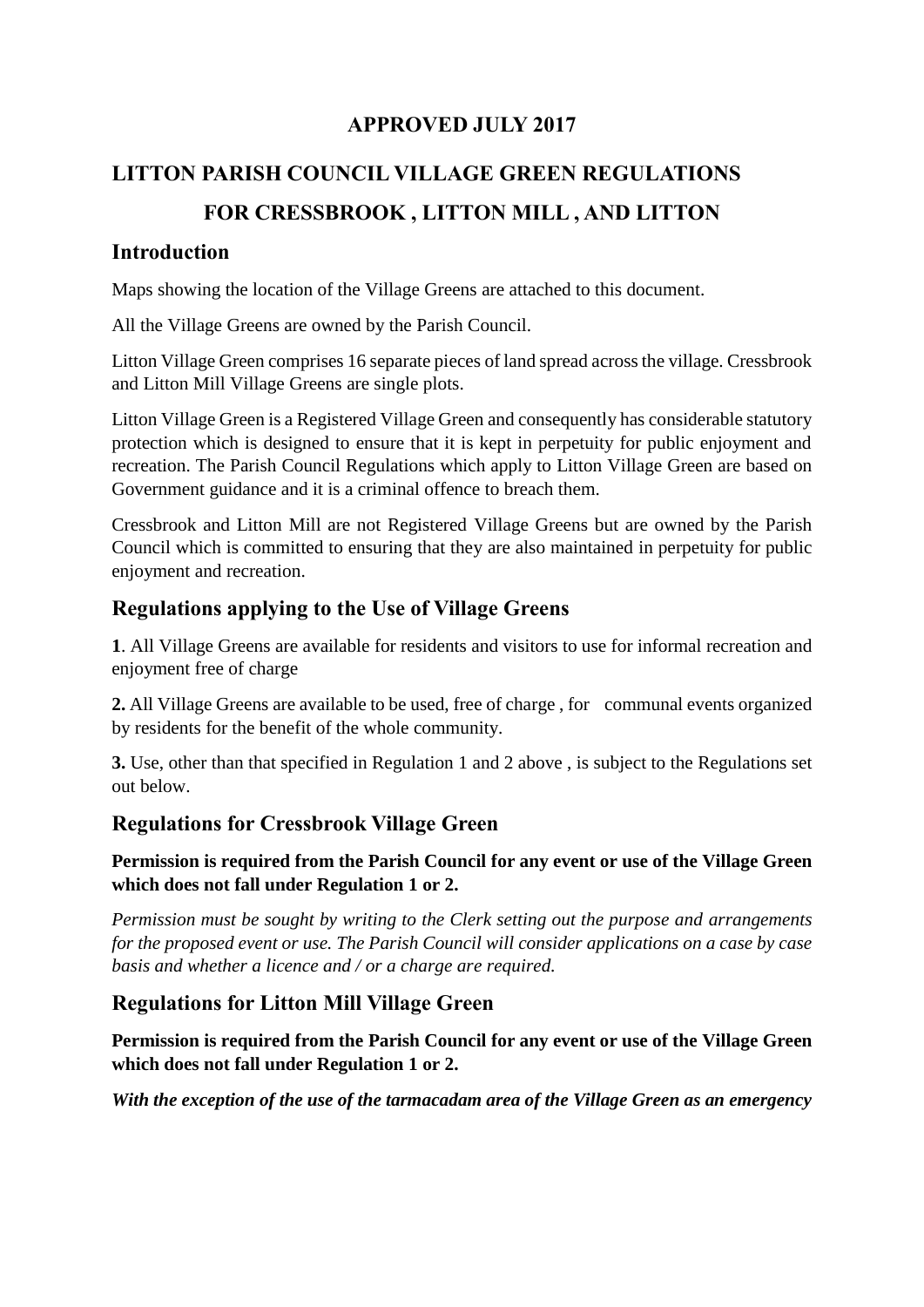## **APPROVED JULY 2017**

# **LITTON PARISH COUNCIL VILLAGE GREEN REGULATIONS FOR CRESSBROOK , LITTON MILL , AND LITTON**

#### **Introduction**

Maps showing the location of the Village Greens are attached to this document.

All the Village Greens are owned by the Parish Council.

Litton Village Green comprises 16 separate pieces of land spread across the village. Cressbrook and Litton Mill Village Greens are single plots.

Litton Village Green is a Registered Village Green and consequently has considerable statutory protection which is designed to ensure that it is kept in perpetuity for public enjoyment and recreation. The Parish Council Regulations which apply to Litton Village Green are based on Government guidance and it is a criminal offence to breach them.

Cressbrook and Litton Mill are not Registered Village Greens but are owned by the Parish Council which is committed to ensuring that they are also maintained in perpetuity for public enjoyment and recreation.

## **Regulations applying to the Use of Village Greens**

**1**. All Village Greens are available for residents and visitors to use for informal recreation and enjoyment free of charge

**2.** All Village Greens are available to be used, free of charge , for communal events organized by residents for the benefit of the whole community.

**3.** Use, other than that specified in Regulation 1 and 2 above , is subject to the Regulations set out below.

## **Regulations for Cressbrook Village Green**

**Permission is required from the Parish Council for any event or use of the Village Green which does not fall under Regulation 1 or 2.**

*Permission must be sought by writing to the Clerk setting out the purpose and arrangements for the proposed event or use. The Parish Council will consider applications on a case by case basis and whether a licence and / or a charge are required.*

## **Regulations for Litton Mill Village Green**

**Permission is required from the Parish Council for any event or use of the Village Green which does not fall under Regulation 1 or 2.**

*With the exception of the use of the tarmacadam area of the Village Green as an emergency*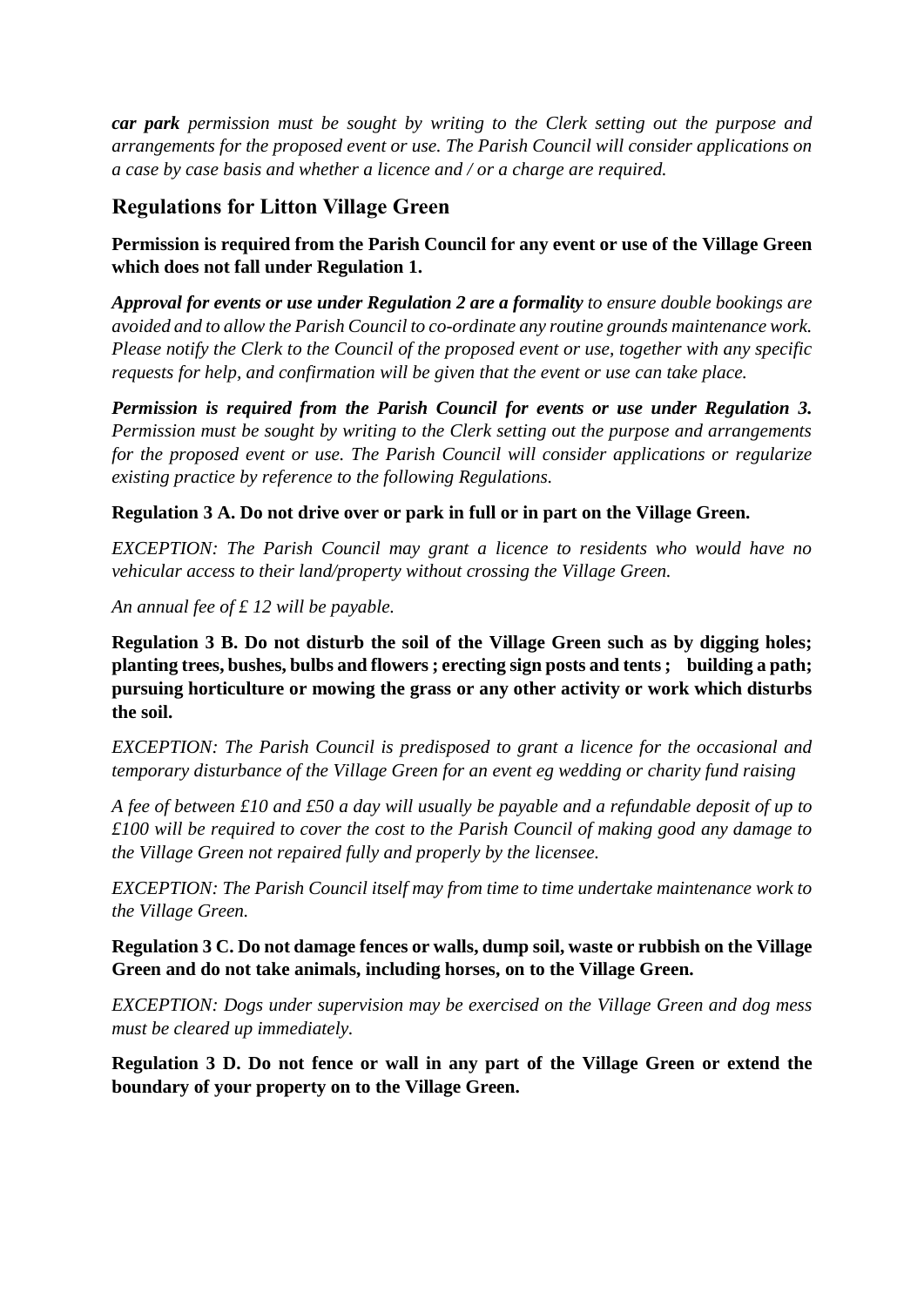*car park permission must be sought by writing to the Clerk setting out the purpose and arrangements for the proposed event or use. The Parish Council will consider applications on a case by case basis and whether a licence and / or a charge are required.*

## **Regulations for Litton Village Green**

#### **Permission is required from the Parish Council for any event or use of the Village Green which does not fall under Regulation 1.**

*Approval for events or use under Regulation 2 are a formality to ensure double bookings are avoided and to allow the Parish Council to co-ordinate any routine grounds maintenance work. Please notify the Clerk to the Council of the proposed event or use, together with any specific requests for help, and confirmation will be given that the event or use can take place.*

*Permission is required from the Parish Council for events or use under Regulation 3. Permission must be sought by writing to the Clerk setting out the purpose and arrangements for the proposed event or use. The Parish Council will consider applications or regularize existing practice by reference to the following Regulations.*

#### **Regulation 3 A. Do not drive over or park in full or in part on the Village Green.**

*EXCEPTION: The Parish Council may grant a licence to residents who would have no vehicular access to their land/property without crossing the Village Green.*

*An annual fee of £ 12 will be payable.*

**Regulation 3 B. Do not disturb the soil of the Village Green such as by digging holes; planting trees, bushes, bulbs and flowers ; erecting sign posts and tents ; building a path; pursuing horticulture or mowing the grass or any other activity or work which disturbs the soil.**

*EXCEPTION: The Parish Council is predisposed to grant a licence for the occasional and temporary disturbance of the Village Green for an event eg wedding or charity fund raising*

*A fee of between £10 and £50 a day will usually be payable and a refundable deposit of up to £100 will be required to cover the cost to the Parish Council of making good any damage to the Village Green not repaired fully and properly by the licensee.* 

*EXCEPTION: The Parish Council itself may from time to time undertake maintenance work to the Village Green.*

**Regulation 3 C. Do not damage fences or walls, dump soil, waste or rubbish on the Village Green and do not take animals, including horses, on to the Village Green.** 

*EXCEPTION: Dogs under supervision may be exercised on the Village Green and dog mess must be cleared up immediately.*

**Regulation 3 D. Do not fence or wall in any part of the Village Green or extend the boundary of your property on to the Village Green.**